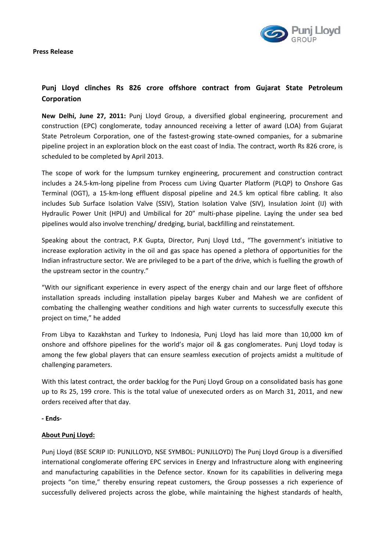

## **Punj Lloyd clinches Rs 826 crore offshore contract from Gujarat State Petroleum Corporation**

**New Delhi, June 27, 2011:** Punj Lloyd Group, a diversified global engineering, procurement and construction (EPC) conglomerate, today announced receiving a letter of award (LOA) from Gujarat State Petroleum Corporation, one of the fastest-growing state-owned companies, for a submarine pipeline project in an exploration block on the east coast of India. The contract, worth Rs 826 crore, is scheduled to be completed by April 2013.

The scope of work for the lumpsum turnkey engineering, procurement and construction contract includes a 24.5‐km‐long pipeline from Process cum Living Quarter Platform (PLQP) to Onshore Gas Terminal (OGT), a 15‐km‐long effluent disposal pipeline and 24.5 km optical fibre cabling. It also includes Sub Surface Isolation Valve (SSIV), Station Isolation Valve (SIV), Insulation Joint (IJ) with Hydraulic Power Unit (HPU) and Umbilical for 20" multi-phase pipeline. Laying the under sea bed pipelines would also involve trenching/ dredging, burial, backfilling and reinstatement.

Speaking about the contract, P.K Gupta, Director, Punj Lloyd Ltd., "The government's initiative to increase exploration activity in the oil and gas space has opened a plethora of opportunities for the Indian infrastructure sector. We are privileged to be a part of the drive, which is fuelling the growth of the upstream sector in the country."

"With our significant experience in every aspect of the energy chain and our large fleet of offshore installation spreads including installation pipelay barges Kuber and Mahesh we are confident of combating the challenging weather conditions and high water currents to successfully execute this project on time," he added

From Libya to Kazakhstan and Turkey to Indonesia, Punj Lloyd has laid more than 10,000 km of onshore and offshore pipelines for the world's major oil & gas conglomerates. Punj Lloyd today is among the few global players that can ensure seamless execution of projects amidst a multitude of challenging parameters.

With this latest contract, the order backlog for the Punj Lloyd Group on a consolidated basis has gone up to Rs 25, 199 crore. This is the total value of unexecuted orders as on March 31, 2011, and new orders received after that day.

## **‐ Ends‐**

## **About Punj Lloyd:**

Punj Lloyd (BSE SCRIP ID: PUNJLLOYD, NSE SYMBOL: PUNJLLOYD) The Punj Lloyd Group is a diversified international conglomerate offering EPC services in Energy and Infrastructure along with engineering and manufacturing capabilities in the Defence sector. Known for its capabilities in delivering mega projects "on time," thereby ensuring repeat customers, the Group possesses a rich experience of successfully delivered projects across the globe, while maintaining the highest standards of health,